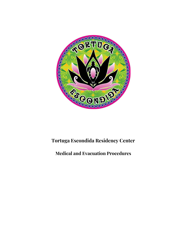

# **Tortuga Escondida Residency Center**

# **Medical and Evacuation Procedures**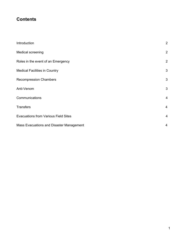# **Contents**

| Introduction                                | $\overline{2}$ |
|---------------------------------------------|----------------|
| Medical screening                           | $\overline{2}$ |
| Roles in the event of an Emergency          | $\overline{2}$ |
| <b>Medical Facilities in Country</b>        | 3              |
| <b>Recompression Chambers</b>               | 3              |
| Anti-Venom                                  | 3              |
| Communications                              | $\overline{4}$ |
| <b>Transfers</b>                            | 4              |
| <b>Evacuations from Various Field Sites</b> | $\overline{a}$ |
| Mass Evacuations and Disaster Management    | $\overline{4}$ |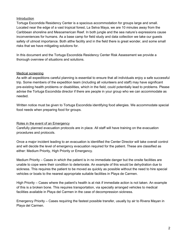#### Introduction

Tortuga Escondida Residency Center is a spacious accommodation for groups large and small. Located near the edge of a vast tropical forest, La Selva Maya, we are 10 minutes away from the Caribbean shoreline and Mesoamerican Reef. In both jungle and the sea nature's expressions cause inconveniences for humans. As a base camp for field study and data collection we take our guests safety of utmost importance. Both atthe facility and in the field there is great wonder, and some small risks that we have mitigating solutions for.

In this document and the Tortuga Escondida Residency Center Risk Assessment we provide a thorough overview of situations and solutions.

#### Medical screening

As with all expeditions careful planning is essential to ensure that all individuals enjoy a safe successful trip. Some members of the expedition team (including all volunteers and staff) may have significant pre-existing health problems or disabilities, which in the field, could potentially lead to problems. Please advise the Tortuga Escondida director if there are people in your group who we can accommodate as needed.

Written notice must be given to Tortuga Escondida identifying food allergies. We accommodate special food needs when preparing food for groups.

#### Roles in the event of an Emergency

Carefully planned evacuation protocols are in place. All staff will have training on the evacuation procedures and protocols.

Once a major incident leading to an evacuation is identified the Center Director will take overall control and will decide the level of emergency evacuation required for the patient. These are classified as either: Medium Priority, High Priority or Emergency.

Medium Priority – Cases in which the patient is in no immediate danger but the onsite facilities are unable to cope were their condition to deteriorate. An example of this would be dehydration due to sickness. This requires the patient to be moved as quickly as possible without the need to hire special vehicles or boats to the nearest appropriate suitable facilities in Playa de Carmen.

High Priority – Cases where the patient's health is at risk if immediate action is not taken. An example of this is a broken bone. This requires transportation, via specially arranged vehicles to medical facilities available in Playa del Carmen in the case of decompression sickness.

Emergency Priority – Cases requiring the fastest possible transfer, usually by air to Rivera Mayan in Playa del Carmen.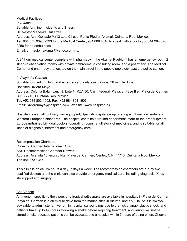Medical Facilities *In Akumal* Suitable for minor incidents and illness. Dr. Nestor Mendoza Gutierrez Address: Ave. Gonzalo Mz13 Lote 01 esq. Punta Piedra, Akumal, Quintana Roo, Mexico. Tel: 984 875 9090/9393 for the Medical Center; 984 806 4616 to speak with a doctor, or 044 984 876 2250 for an ambulance. Email: dr\_nestor\_akumal@yahoo.com.mx

A 24 hour medical center complete with pharmacy in the Akumal Pueblo. It has an emergency room, 2 sleep-in observation rooms with private bathrooms, a consulting room, and a pharmacy. The Medical Center and pharmacy are located on the main street in the pueblo one block past the police station.

# *In Playa del Carmen* Suitable for medium, high and emergency priority evacuations. 30 minute drive. Hospiten Riviera Maya Address: Colonia Balamcanché, Lote 1, MZA.30, Carr. Federal, Playacar Fase II en Playa del Carmen C.P. 77710, Quintana Roo, Mexico. Tel: +52 984 803 1002, Fax: +52 984 803 1606 Email: Rivieramaya@hospiten.com, Website: www.hospiten.es

Hospiten is a small, but very well equipped, Spanish hospital group offering a full medical surface to Western European standards. The hospital contains a trauma department, state-of-the-art equipment, European-trained bilingual doctors, operating rooms, a full stock of medicines, and is suitable for all kinds of diagnosis, treatment and emergency care.

Recompression Chambers Playa del Carmen International Clinic SSS Recompression Chamber Network Address: Avenida 10, esq 28 Nte, Playa del Carmen, Centro, C.P. 77710, Quintana Roo, Mexico Tel: 984 873 1365

This clinic is on call 24 hours a day, 7 days a week. The recompression chambers are run by two qualified doctors and the clinic can also provide emergency medical care, including diagnosis, X-ray, life support and surgery.

#### Anti-Venom

Anti-venom specific to the vipers and tropical rattlesnake are available in hospitals in Playa del Carmen. Playa del Carmen is a 30 minute drive from the marine sites in Akumal and Xpu Ha. As it is always advisable to administer antivenom in hospital surroundings due to the risk of anaphylactic shock, and patients have up to 4-6 hours following a snake before requiring treatment, anti-venom will not be stored on site because patients can be evacuated to a hospital within 3 hours of being bitten. Checks